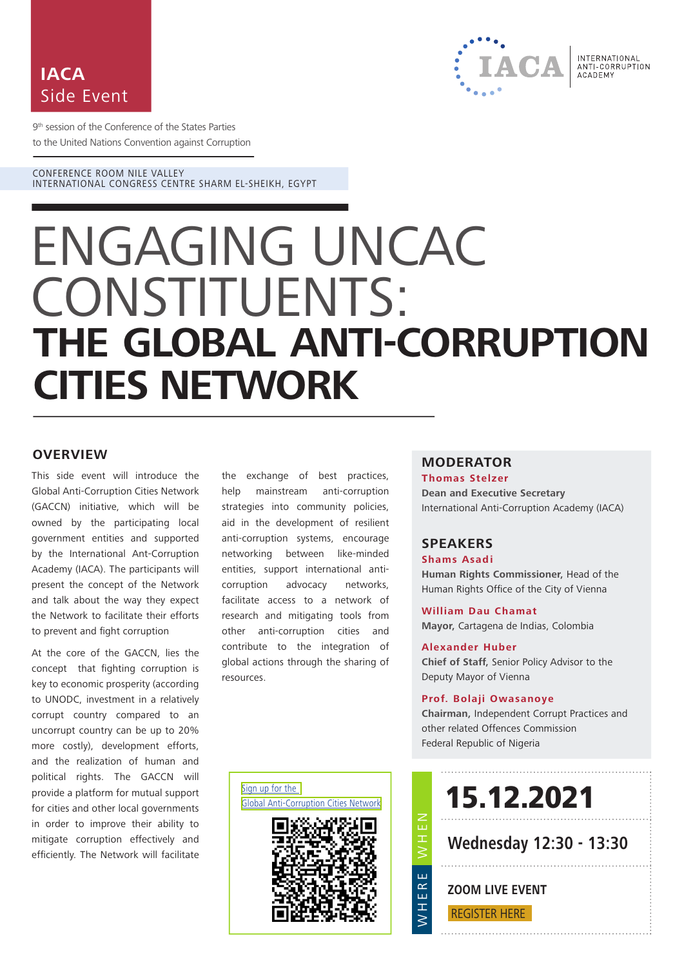



9<sup>th</sup> session of the Conference of the States Parties to the United Nations Convention against Corruption

CONFERENCE ROOM NILE VALLEY INTERNATIONAL CONGRESS CENTRE SHARM EL-SHEIKH, EGYPT

# ENGAGING UNCAC CONSTITUENTS: **THE GLOBAL ANTI-CORRUPTION CITIES NETWORK**

#### **OVERVIEW**

This side event will introduce the Global Anti-Corruption Cities Network (GACCN) initiative, which will be owned by the participating local government entities and supported by the International Ant-Corruption Academy (IACA). The participants will present the concept of the Network and talk about the way they expect the Network to facilitate their efforts to prevent and fight corruption

At the core of the GACCN, lies the concept that fighting corruption is key to economic prosperity (according to UNODC, investment in a relatively corrupt country compared to an uncorrupt country can be up to 20% more costly), development efforts, and the realization of human and political rights. The GACCN will provide a platform for mutual support for cities and other local governments in order to improve their ability to mitigate corruption effectively and efficiently. The Network will facilitate the exchange of best practices, help mainstream anti-corruption strategies into community policies, aid in the development of resilient anti-corruption systems, encourage networking between like-minded entities, support international anticorruption advocacy networks, facilitate access to a network of research and mitigating tools from other anti-corruption cities and contribute to the integration of global actions through the sharing of resources.

### **MODERATOR**

**Thomas Stelzer Dean and Executive Secretary** International Anti-Corruption Academy (IACA)

#### **SPEAKERS**

**Shams Asadi** 

**Human Rights Commissioner,** Head of the Human Rights Office of the City of Vienna

**William Dau Chamat Mayor,** Cartagena de Indias, Colombia

#### **Alexander Huber**

**Chief of Staff,** Senior Policy Advisor to the Deputy Mayor of Vienna

#### **Prof. Bolaji Owasanoye**

**Chairman,** Independent Corrupt Practices and other related Offences Commission Federal Republic of Nigeria

[Sign up for the](https://forms.office.com/r/rNFUhqzgTT)  [Global Anti-Corruption Cities Network](https://forms.office.com/r/rNFUhqzgTT)



15.12.2021

**Wednesday 12:30 - 13:30**

## **ZOOM LIVE EVENT**

. . . . . . . . . . . . . . . . . . . .

[REGISTER HERE](https://zoom.us/webinar/register/WN_L04-QVi2QRO1HsdJg0PZSg)

NHH<br>NH<br>NH

WHERE

 $\overline{H}$ 

Ш ERI